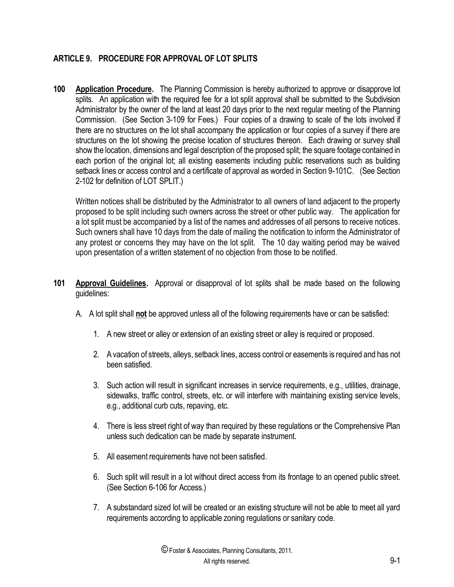## **ARTICLE 9. PROCEDURE FOR APPROVAL OF LOT SPLITS**

**100 Application Procedure.** The Planning Commission is hereby authorized to approve or disapprove lot splits. An application with the required fee for a lot split approval shall be submitted to the Subdivision Administrator by the owner of the land at least 20 days prior to the next regular meeting of the Planning Commission. (See Section 3-109 for Fees.) Four copies of a drawing to scale of the lots involved if there are no structures on the lot shall accompany the application or four copies of a survey if there are structures on the lot showing the precise location of structures thereon. Each drawing or survey shall show the location, dimensions and legal description of the proposed split; the square footage contained in each portion of the original lot; all existing easements including public reservations such as building setback lines or access control and a certificate of approval as worded in Section 9-101C. (See Section 2-102 for definition of LOT SPLIT.)

Written notices shall be distributed by the Administrator to all owners of land adjacent to the property proposed to be split including such owners across the street or other public way. The application for a lot split must be accompanied by a list of the names and addresses of all persons to receive notices. Such owners shall have 10 days from the date of mailing the notification to inform the Administrator of any protest or concerns they may have on the lot split. The 10 day waiting period may be waived upon presentation of a written statement of no objection from those to be notified.

- **101 Approval Guidelines.** Approval or disapproval of lot splits shall be made based on the following guidelines:
	- A. A lot split shall **not** be approved unless all of the following requirements have or can be satisfied:
		- 1. A new street or alley or extension of an existing street or alley is required or proposed.
		- 2. A vacation of streets, alleys, setback lines, access control or easements is required and has not been satisfied.
		- 3. Such action will result in significant increases in service requirements, e.g., utilities, drainage, sidewalks, traffic control, streets, etc. or will interfere with maintaining existing service levels, e.g., additional curb cuts, repaving, etc.
		- 4. There is less street right of way than required by these regulations or the Comprehensive Plan unless such dedication can be made by separate instrument.
		- 5. All easement requirements have not been satisfied.
		- 6. Such split will result in a lot without direct access from its frontage to an opened public street. (See Section 6-106 for Access.)
		- 7. A substandard sized lot will be created or an existing structure will not be able to meet all yard requirements according to applicable zoning regulations or sanitary code.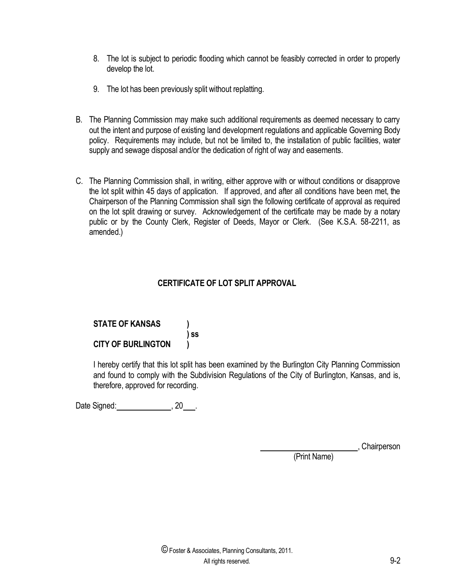- 8. The lot is subject to periodic flooding which cannot be feasibly corrected in order to properly develop the lot.
- 9. The lot has been previously split without replatting.
- B. The Planning Commission may make such additional requirements as deemed necessary to carry out the intent and purpose of existing land development regulations and applicable Governing Body policy. Requirements may include, but not be limited to, the installation of public facilities, water supply and sewage disposal and/or the dedication of right of way and easements.
- C. The Planning Commission shall, in writing, either approve with or without conditions or disapprove the lot split within 45 days of application. If approved, and after all conditions have been met, the Chairperson of the Planning Commission shall sign the following certificate of approval as required on the lot split drawing or survey. Acknowledgement of the certificate may be made by a notary public or by the County Clerk, Register of Deeds, Mayor or Clerk. (See K.S.A. 58-2211, as amended.)

## **CERTIFICATE OF LOT SPLIT APPROVAL**

## **STATE OF KANSAS ) ) ss CITY OF BURLINGTON )**

I hereby certify that this lot split has been examined by the Burlington City Planning Commission and found to comply with the Subdivision Regulations of the City of Burlington, Kansas, and is, therefore, approved for recording.

Date Signed:  $, 20$ .

, Chairperson

(Print Name)